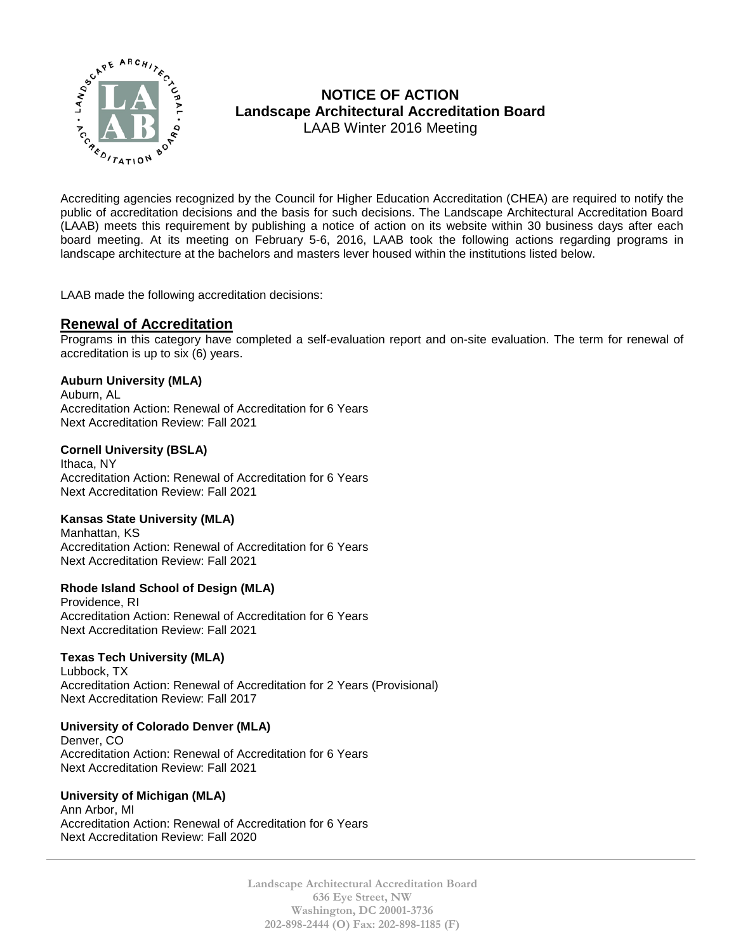

# **NOTICE OF ACTION Landscape Architectural Accreditation Board**  LAAB Winter 2016 Meeting

Accrediting agencies recognized by the Council for Higher Education Accreditation (CHEA) are required to notify the public of accreditation decisions and the basis for such decisions. The Landscape Architectural Accreditation Board (LAAB) meets this requirement by publishing a notice of action on its website within 30 business days after each board meeting. At its meeting on February 5-6, 2016, LAAB took the following actions regarding programs in landscape architecture at the bachelors and masters lever housed within the institutions listed below.

LAAB made the following accreditation decisions:

## **Renewal of Accreditation**

Programs in this category have completed a self-evaluation report and on-site evaluation. The term for renewal of accreditation is up to six (6) years.

### **Auburn University (MLA)**

Auburn, AL Accreditation Action: Renewal of Accreditation for 6 Years Next Accreditation Review: Fall 2021

### **Cornell University (BSLA)**

Ithaca, NY Accreditation Action: Renewal of Accreditation for 6 Years Next Accreditation Review: Fall 2021

### **Kansas State University (MLA)**

Manhattan, KS Accreditation Action: Renewal of Accreditation for 6 Years Next Accreditation Review: Fall 2021

### **Rhode Island School of Design (MLA)**

Providence, RI Accreditation Action: Renewal of Accreditation for 6 Years Next Accreditation Review: Fall 2021

### **Texas Tech University (MLA)**

Lubbock, TX Accreditation Action: Renewal of Accreditation for 2 Years (Provisional) Next Accreditation Review: Fall 2017

### **University of Colorado Denver (MLA)**

Denver, CO Accreditation Action: Renewal of Accreditation for 6 Years Next Accreditation Review: Fall 2021

#### **University of Michigan (MLA)**

Ann Arbor, MI Accreditation Action: Renewal of Accreditation for 6 Years Next Accreditation Review: Fall 2020

> **Landscape Architectural Accreditation Board 636 Eye Street, NW Washington, DC 20001-3736 202-898-2444 (O) Fax: 202-898-1185 (F)**